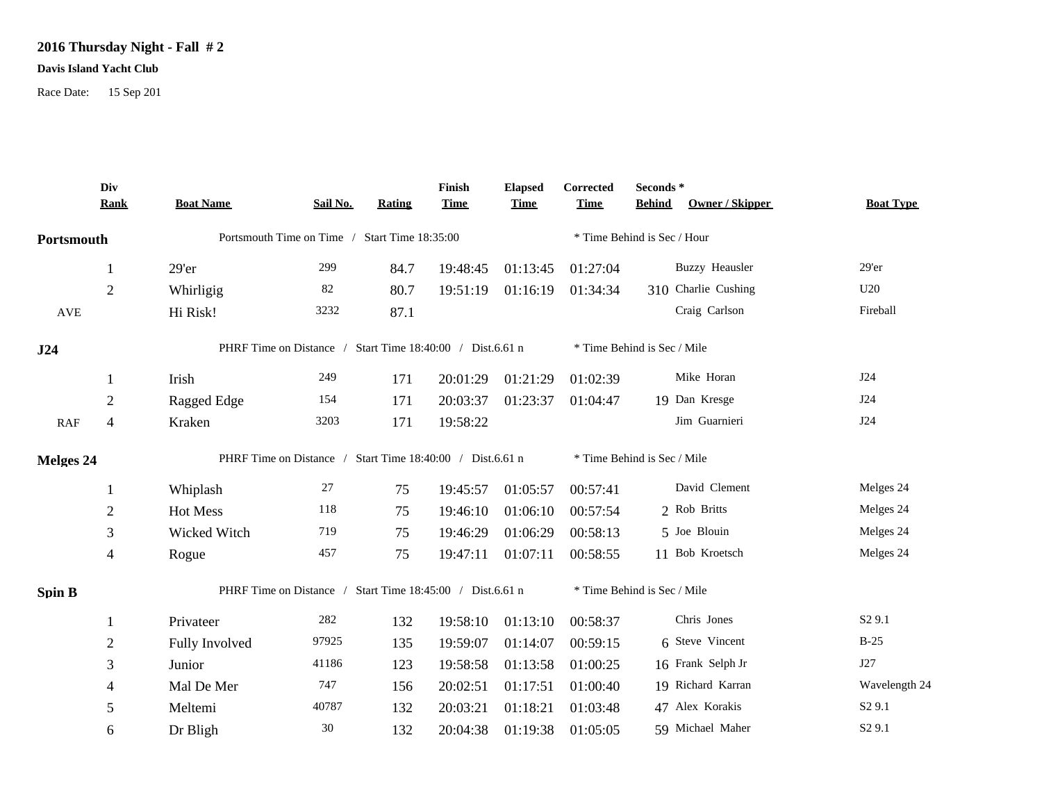## **2016 Thursday Night - Fall # 2**

## **Davis Island Yacht Club**

Race Date: 15 Sep 201

|                  | Div<br><b>Rank</b> | <b>Boat Name</b>                                          | Sail No.                                                  | <b>Rating</b> | Finish<br><b>Time</b> | <b>Elapsed</b><br><b>Time</b> | Corrected<br><b>Time</b>    | Seconds *<br><b>Behind</b>  | Owner / Skipper       | <b>Boat Type</b>   |  |
|------------------|--------------------|-----------------------------------------------------------|-----------------------------------------------------------|---------------|-----------------------|-------------------------------|-----------------------------|-----------------------------|-----------------------|--------------------|--|
| Portsmouth       |                    | Portsmouth Time on Time / Start Time 18:35:00             |                                                           |               |                       |                               | * Time Behind is Sec / Hour |                             |                       |                    |  |
|                  | 1                  | $29'$ er                                                  | 299                                                       | 84.7          | 19:48:45              | 01:13:45                      | 01:27:04                    |                             | <b>Buzzy Heausler</b> | 29'er              |  |
|                  | $\overline{2}$     | Whirligig                                                 | 82                                                        | 80.7          | 19:51:19              | 01:16:19                      | 01:34:34                    |                             | 310 Charlie Cushing   | U20                |  |
| <b>AVE</b>       |                    | Hi Risk!                                                  | 3232                                                      | 87.1          |                       |                               |                             |                             | Craig Carlson         | Fireball           |  |
| J24              |                    | PHRF Time on Distance / Start Time 18:40:00 / Dist.6.61 n |                                                           |               |                       |                               | * Time Behind is Sec / Mile |                             |                       |                    |  |
|                  |                    | Irish                                                     | 249                                                       | 171           | 20:01:29              | 01:21:29                      | 01:02:39                    |                             | Mike Horan            | J24                |  |
|                  | $\overline{2}$     | Ragged Edge                                               | 154                                                       | 171           | 20:03:37              | 01:23:37                      | 01:04:47                    |                             | 19 Dan Kresge         | J24                |  |
| RAF              | $\overline{4}$     | Kraken                                                    | 3203                                                      | 171           | 19:58:22              |                               |                             |                             | Jim Guarnieri         | J24                |  |
| <b>Melges 24</b> |                    |                                                           | PHRF Time on Distance / Start Time 18:40:00 / Dist.6.61 n |               |                       |                               | * Time Behind is Sec / Mile |                             |                       |                    |  |
|                  |                    | Whiplash                                                  | 27                                                        | 75            | 19:45:57              | 01:05:57                      | 00:57:41                    |                             | David Clement         | Melges 24          |  |
|                  | $\mathbf{2}$       | Hot Mess                                                  | 118                                                       | 75            | 19:46:10              | 01:06:10                      | 00:57:54                    |                             | 2 Rob Britts          | Melges 24          |  |
|                  | 3                  | Wicked Witch                                              | 719                                                       | 75            | 19:46:29              | 01:06:29                      | 00:58:13                    |                             | 5 Joe Blouin          | Melges 24          |  |
|                  | $\overline{4}$     | Rogue                                                     | 457                                                       | 75            | 19:47:11              | 01:07:11                      | 00:58:55                    |                             | 11 Bob Kroetsch       | Melges 24          |  |
| <b>Spin B</b>    |                    | PHRF Time on Distance / Start Time 18:45:00 / Dist.6.61 n |                                                           |               |                       |                               |                             | * Time Behind is Sec / Mile |                       |                    |  |
|                  |                    | Privateer                                                 | 282                                                       | 132           | 19:58:10              | 01:13:10                      | 00:58:37                    |                             | Chris Jones           | S <sub>2</sub> 9.1 |  |
|                  | $\overline{2}$     | Fully Involved                                            | 97925                                                     | 135           | 19:59:07              | 01:14:07                      | 00:59:15                    |                             | 6 Steve Vincent       | $B-25$             |  |
|                  | 3                  | Junior                                                    | 41186                                                     | 123           | 19:58:58              | 01:13:58                      | 01:00:25                    |                             | 16 Frank Selph Jr     | J27                |  |
|                  | 4                  | Mal De Mer                                                | 747                                                       | 156           | 20:02:51              | 01:17:51                      | 01:00:40                    |                             | 19 Richard Karran     | Wavelength 24      |  |
|                  | 5                  | Meltemi                                                   | 40787                                                     | 132           | 20:03:21              | 01:18:21                      | 01:03:48                    |                             | 47 Alex Korakis       | S <sub>2</sub> 9.1 |  |
|                  | 6                  | Dr Bligh                                                  | 30                                                        | 132           | 20:04:38              | 01:19:38                      | 01:05:05                    |                             | 59 Michael Maher      | S <sub>2</sub> 9.1 |  |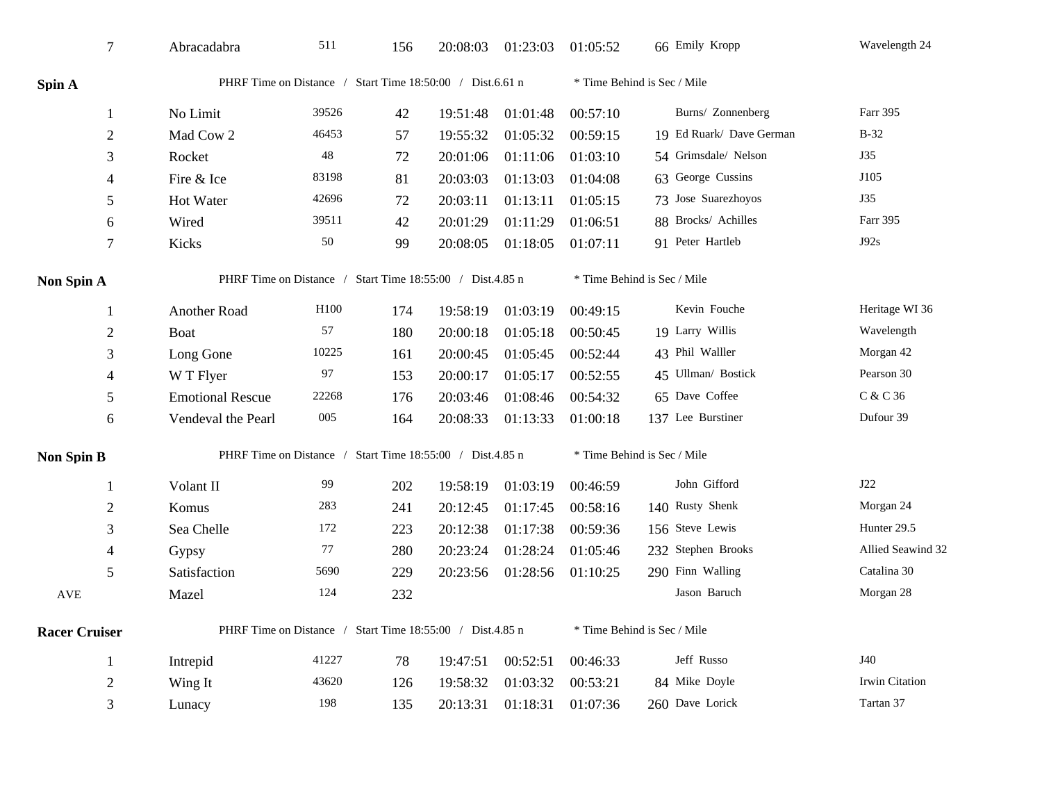| $\tau$               | Abracadabra                                               | 511              | 156 | 20:08:03                    | 01:23:03 | 01:05:52                    | 66 Emily Kropp           | Wavelength 24     |  |
|----------------------|-----------------------------------------------------------|------------------|-----|-----------------------------|----------|-----------------------------|--------------------------|-------------------|--|
| Spin A               | PHRF Time on Distance / Start Time 18:50:00 / Dist.6.61 n |                  |     |                             |          | * Time Behind is Sec / Mile |                          |                   |  |
| $\mathbf{1}$         | No Limit                                                  | 39526            | 42  | 19:51:48                    | 01:01:48 | 00:57:10                    | Burns/ Zonnenberg        | Farr 395          |  |
| $\mathfrak{2}$       | Mad Cow 2                                                 | 46453            | 57  | 19:55:32                    | 01:05:32 | 00:59:15                    | 19 Ed Ruark/ Dave German | $B-32$            |  |
| 3                    | Rocket                                                    | 48               | 72  | 20:01:06                    | 01:11:06 | 01:03:10                    | 54 Grimsdale/ Nelson     | J35               |  |
| 4                    | Fire & Ice                                                | 83198            | 81  | 20:03:03                    | 01:13:03 | 01:04:08                    | 63 George Cussins        | J105              |  |
| 5                    | Hot Water                                                 | 42696            | 72  | 20:03:11                    | 01:13:11 | 01:05:15                    | 73 Jose Suarezhoyos      | J35               |  |
| 6                    | Wired                                                     | 39511            | 42  | 20:01:29                    | 01:11:29 | 01:06:51                    | 88 Brocks/ Achilles      | Farr 395          |  |
| 7                    | Kicks                                                     | 50               | 99  | 20:08:05                    | 01:18:05 | 01:07:11                    | 91 Peter Hartleb         | J92s              |  |
| Non Spin A           | PHRF Time on Distance / Start Time 18:55:00 / Dist.4.85 n |                  |     |                             |          | * Time Behind is Sec / Mile |                          |                   |  |
| 1                    | Another Road                                              | H <sub>100</sub> | 174 | 19:58:19                    | 01:03:19 | 00:49:15                    | Kevin Fouche             | Heritage WI 36    |  |
| $\overline{c}$       | Boat                                                      | 57               | 180 | 20:00:18                    | 01:05:18 | 00:50:45                    | 19 Larry Willis          | Wavelength        |  |
| 3                    | Long Gone                                                 | 10225            | 161 | 20:00:45                    | 01:05:45 | 00:52:44                    | 43 Phil Walller          | Morgan 42         |  |
| 4                    | W T Flyer                                                 | 97               | 153 | 20:00:17                    | 01:05:17 | 00:52:55                    | 45 Ullman/ Bostick       | Pearson 30        |  |
| 5                    | <b>Emotional Rescue</b>                                   | 22268            | 176 | 20:03:46                    | 01:08:46 | 00:54:32                    | 65 Dave Coffee           | C & C 36          |  |
| 6                    | Vendeval the Pearl                                        | $005$            | 164 | 20:08:33                    | 01:13:33 | 01:00:18                    | 137 Lee Burstiner        | Dufour 39         |  |
| Non Spin B           | PHRF Time on Distance / Start Time 18:55:00 / Dist.4.85 n |                  |     |                             |          | * Time Behind is Sec / Mile |                          |                   |  |
| 1                    | Volant II                                                 | 99               | 202 | 19:58:19                    | 01:03:19 | 00:46:59                    | John Gifford             | J22               |  |
| $\mathbf{2}$         | Komus                                                     | 283              | 241 | 20:12:45                    | 01:17:45 | 00:58:16                    | 140 Rusty Shenk          | Morgan 24         |  |
| 3                    | Sea Chelle                                                | 172              | 223 | 20:12:38                    | 01:17:38 | 00:59:36                    | 156 Steve Lewis          | Hunter 29.5       |  |
| 4                    | Gypsy                                                     | 77               | 280 | 20:23:24                    | 01:28:24 | 01:05:46                    | 232 Stephen Brooks       | Allied Seawind 32 |  |
| 5                    | Satisfaction                                              | 5690             | 229 | 20:23:56                    | 01:28:56 | 01:10:25                    | 290 Finn Walling         | Catalina 30       |  |
| $\operatorname{AVE}$ | Mazel                                                     | 124              | 232 |                             |          |                             | Jason Baruch             | Morgan 28         |  |
| <b>Racer Cruiser</b> | PHRF Time on Distance / Start Time 18:55:00 / Dist.4.85 n |                  |     | * Time Behind is Sec / Mile |          |                             |                          |                   |  |
| 1                    | Intrepid                                                  | 41227            | 78  | 19:47:51                    | 00:52:51 | 00:46:33                    | Jeff Russo               | J40               |  |
| $\overline{c}$       | Wing It                                                   | 43620            | 126 | 19:58:32                    | 01:03:32 | 00:53:21                    | 84 Mike Doyle            | Irwin Citation    |  |
| 3                    | Lunacy                                                    | 198              | 135 | 20:13:31                    | 01:18:31 | 01:07:36                    | 260 Dave Lorick          | Tartan 37         |  |